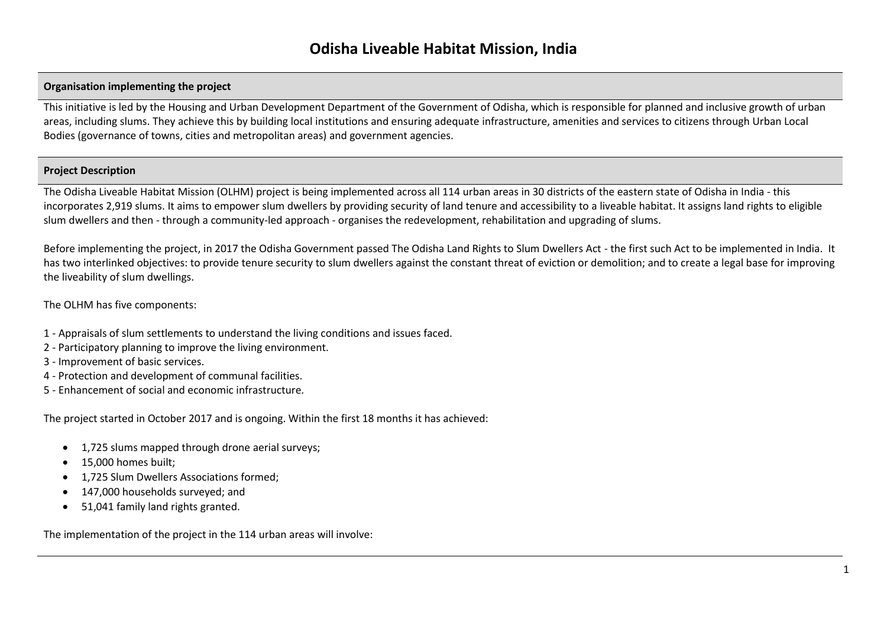## **Organisation implementing the project**

This initiative is led by the Housing and Urban Development Department of the Government of Odisha, which is responsible for planned and inclusive growth of urban areas, including slums. They achieve this by building local institutions and ensuring adequate infrastructure, amenities and services to citizens through Urban Local Bodies (governance of towns, cities and metropolitan areas) and government agencies.

#### **Project Description**

The Odisha Liveable Habitat Mission (OLHM) project is being implemented across all 114 urban areas in 30 districts of the eastern state of Odisha in India - this incorporates 2,919 slums. It aims to empower slum dwellers by providing security of land tenure and accessibility to a liveable habitat. It assigns land rights to eligible slum dwellers and then - through a community-led approach - organises the redevelopment, rehabilitation and upgrading of slums.

Before implementing the project, in 2017 the Odisha Government passed The Odisha Land Rights to Slum Dwellers Act - the first such Act to be implemented in India. It has two interlinked objectives: to provide tenure security to slum dwellers against the constant threat of eviction or demolition; and to create a legal base for improving the liveability of slum dwellings.

The OLHM has five components:

- 1 Appraisals of slum settlements to understand the living conditions and issues faced.
- 2 Participatory planning to improve the living environment.
- 3 Improvement of basic services.
- 4 Protection and development of communal facilities.
- 5 Enhancement of social and economic infrastructure.

The project started in October 2017 and is ongoing. Within the first 18 months it has achieved:

- 1,725 slums mapped through drone aerial surveys;
- 15,000 homes built;
- 1,725 Slum Dwellers Associations formed;
- 147,000 households surveyed; and
- 51,041 family land rights granted.

The implementation of the project in the 114 urban areas will involve: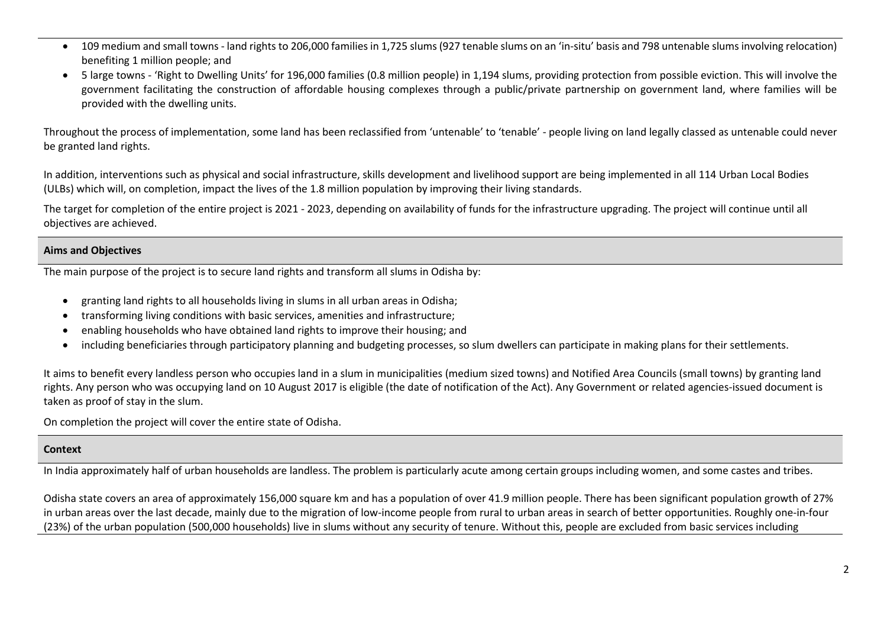- 109 medium and small towns land rights to 206,000 families in 1,725 slums (927 tenable slums on an 'in-situ' basis and 798 untenable slums involving relocation) benefiting 1 million people; and
- 5 large towns 'Right to Dwelling Units' for 196,000 families (0.8 million people) in 1,194 slums, providing protection from possible eviction. This will involve the government facilitating the construction of affordable housing complexes through a public/private partnership on government land, where families will be provided with the dwelling units.

Throughout the process of implementation, some land has been reclassified from 'untenable' to 'tenable' - people living on land legally classed as untenable could never be granted land rights.

In addition, interventions such as physical and social infrastructure, skills development and livelihood support are being implemented in all 114 Urban Local Bodies (ULBs) which will, on completion, impact the lives of the 1.8 million population by improving their living standards.

The target for completion of the entire project is 2021 - 2023, depending on availability of funds for the infrastructure upgrading. The project will continue until all objectives are achieved.

# **Aims and Objectives**

The main purpose of the project is to secure land rights and transform all slums in Odisha by:

- granting land rights to all households living in slums in all urban areas in Odisha;
- transforming living conditions with basic services, amenities and infrastructure;
- enabling households who have obtained land rights to improve their housing; and
- including beneficiaries through participatory planning and budgeting processes, so slum dwellers can participate in making plans for their settlements.

It aims to benefit every landless person who occupies land in a slum in municipalities (medium sized towns) and Notified Area Councils (small towns) by granting land rights. Any person who was occupying land on 10 August 2017 is eligible (the date of notification of the Act). Any Government or related agencies-issued document is taken as proof of stay in the slum.

On completion the project will cover the entire state of Odisha.

# **Context**

In India approximately half of urban households are landless. The problem is particularly acute among certain groups including women, and some castes and tribes.

Odisha state covers an area of approximately 156,000 square km and has a population of over 41.9 million people. There has been significant population growth of 27% in urban areas over the last decade, mainly due to the migration of low-income people from rural to urban areas in search of better opportunities. Roughly one-in-four (23%) of the urban population (500,000 households) live in slums without any security of tenure. Without this, people are excluded from basic services including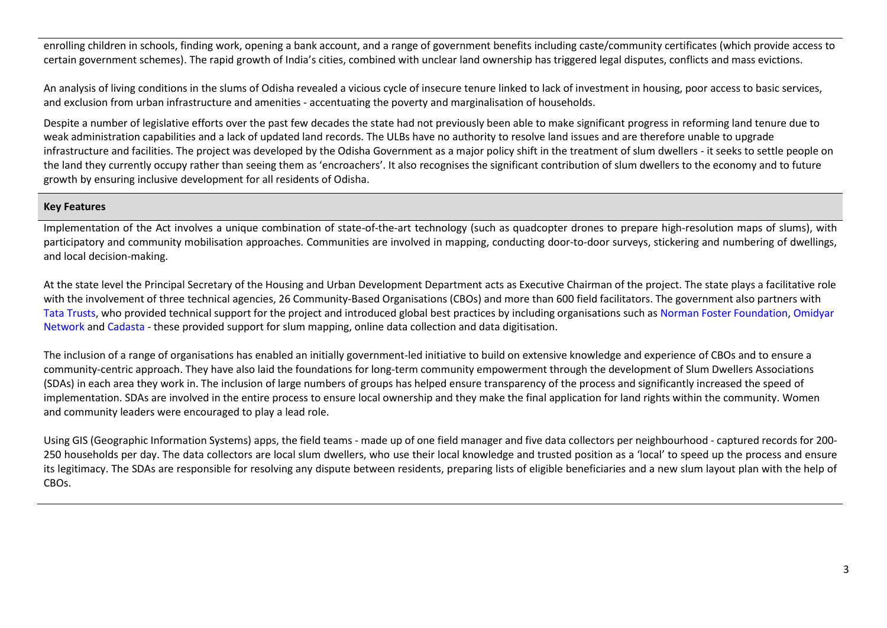enrolling children in schools, finding work, opening a bank account, and a range of government benefits including caste/community certificates (which provide access to certain government schemes). The rapid growth of India's cities, combined with unclear land ownership has triggered legal disputes, conflicts and mass evictions.

An analysis of living conditions in the slums of Odisha revealed a vicious cycle of insecure tenure linked to lack of investment in housing, poor access to basic services, and exclusion from urban infrastructure and amenities - accentuating the poverty and marginalisation of households.

Despite a number of legislative efforts over the past few decades the state had not previously been able to make significant progress in reforming land tenure due to weak administration capabilities and a lack of updated land records. The ULBs have no authority to resolve land issues and are therefore unable to upgrade infrastructure and facilities. The project was developed by the Odisha Government as a major policy shift in the treatment of slum dwellers - it seeks to settle people on the land they currently occupy rather than seeing them as 'encroachers'. It also recognises the significant contribution of slum dwellers to the economy and to future growth by ensuring inclusive development for all residents of Odisha.

### **Key Features**

Implementation of the Act involves a unique combination of state-of-the-art technology (such as quadcopter drones to prepare high-resolution maps of slums), with participatory and community mobilisation approaches. Communities are involved in mapping, conducting door-to-door surveys, stickering and numbering of dwellings, and local decision-making.

At the state level the Principal Secretary of the Housing and Urban Development Department acts as Executive Chairman of the project. The state plays a facilitative role with the involvement of three technical agencies, 26 Community-Based Organisations (CBOs) and more than 600 field facilitators. The government also partners with [Tata Trusts,](https://www.tatatrusts.org/) who provided technical support for the project and introduced global best practices by including organisations such a[s Norman Foster Foundation,](http://www.normanfosterfoundation.org/) [Omidyar](https://www.omidyar.com/) [Network](https://www.omidyar.com/) and [Cadasta](https://cadasta.org/) - these provided support for slum mapping, online data collection and data digitisation.

The inclusion of a range of organisations has enabled an initially government-led initiative to build on extensive knowledge and experience of CBOs and to ensure a community-centric approach. They have also laid the foundations for long-term community empowerment through the development of Slum Dwellers Associations (SDAs) in each area they work in. The inclusion of large numbers of groups has helped ensure transparency of the process and significantly increased the speed of implementation. SDAs are involved in the entire process to ensure local ownership and they make the final application for land rights within the community. Women and community leaders were encouraged to play a lead role.

Using GIS (Geographic Information Systems) apps, the field teams - made up of one field manager and five data collectors per neighbourhood - captured records for 200- 250 households per day. The data collectors are local slum dwellers, who use their local knowledge and trusted position as a 'local' to speed up the process and ensure its legitimacy. The SDAs are responsible for resolving any dispute between residents, preparing lists of eligible beneficiaries and a new slum layout plan with the help of CBOs.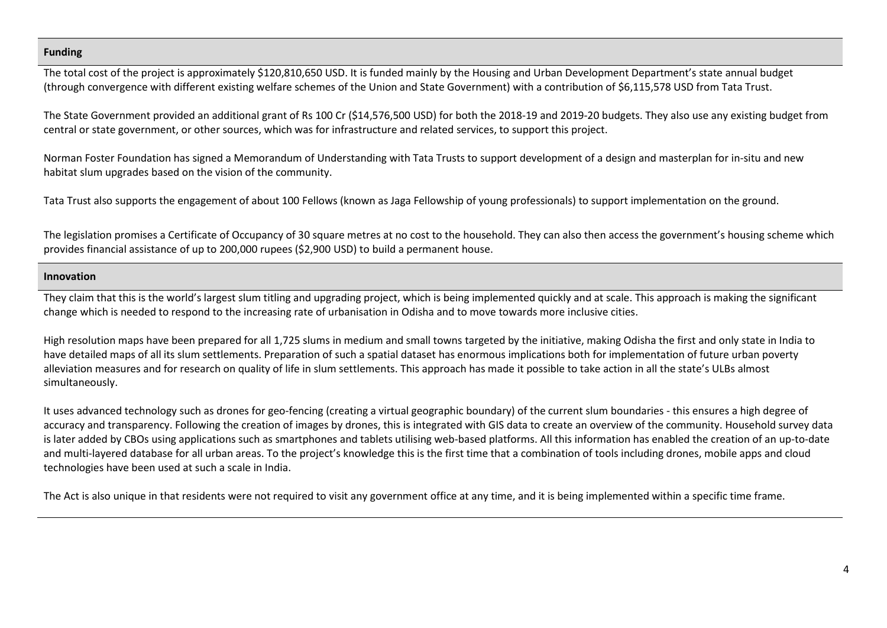### **Funding**

The total cost of the project is approximately \$120,810,650 USD. It is funded mainly by the Housing and Urban Development Department's state annual budget (through convergence with different existing welfare schemes of the Union and State Government) with a contribution of \$6,115,578 USD from Tata Trust.

The State Government provided an additional grant of Rs 100 Cr (\$14,576,500 USD) for both the 2018-19 and 2019-20 budgets. They also use any existing budget from central or state government, or other sources, which was for infrastructure and related services, to support this project.

Norman Foster Foundation has signed a Memorandum of Understanding with Tata Trusts to support development of a design and masterplan for in-situ and new habitat slum upgrades based on the vision of the community.

Tata Trust also supports the engagement of about 100 Fellows (known as Jaga Fellowship of young professionals) to support implementation on the ground.

The legislation promises a Certificate of Occupancy of 30 square metres at no cost to the household. They can also then access the government's housing scheme which provides financial assistance of up to 200,000 rupees (\$2,900 USD) to build a permanent house.

### **Innovation**

They claim that this is the world's largest slum titling and upgrading project, which is being implemented quickly and at scale. This approach is making the significant change which is needed to respond to the increasing rate of urbanisation in Odisha and to move towards more inclusive cities.

High resolution maps have been prepared for all 1,725 slums in medium and small towns targeted by the initiative, making Odisha the first and only state in India to have detailed maps of all its slum settlements. Preparation of such a spatial dataset has enormous implications both for implementation of future urban poverty alleviation measures and for research on quality of life in slum settlements. This approach has made it possible to take action in all the state's ULBs almost simultaneously.

It uses advanced technology such as drones for geo-fencing (creating a virtual geographic boundary) of the current slum boundaries - this ensures a high degree of accuracy and transparency. Following the creation of images by drones, this is integrated with GIS data to create an overview of the community. Household survey data is later added by CBOs using applications such as smartphones and tablets utilising web-based platforms. All this information has enabled the creation of an up-to-date and multi-layered database for all urban areas. To the project's knowledge this is the first time that a combination of tools including drones, mobile apps and cloud technologies have been used at such a scale in India.

The Act is also unique in that residents were not required to visit any government office at any time, and it is being implemented within a specific time frame.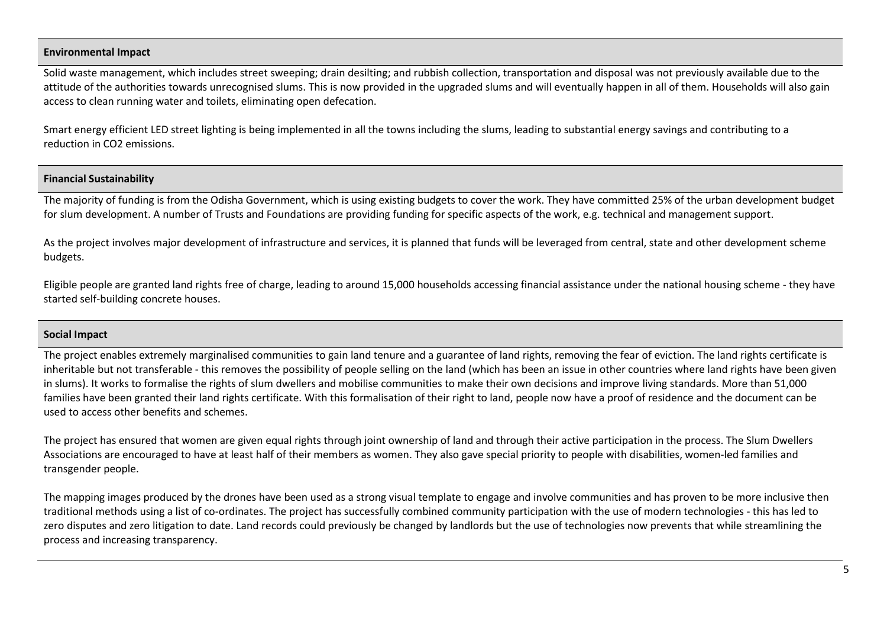## **Environmental Impact**

Solid waste management, which includes street sweeping; drain desilting; and rubbish collection, transportation and disposal was not previously available due to the attitude of the authorities towards unrecognised slums. This is now provided in the upgraded slums and will eventually happen in all of them. Households will also gain access to clean running water and toilets, eliminating open defecation.

Smart energy efficient LED street lighting is being implemented in all the towns including the slums, leading to substantial energy savings and contributing to a reduction in CO2 emissions.

### **Financial Sustainability**

The majority of funding is from the Odisha Government, which is using existing budgets to cover the work. They have committed 25% of the urban development budget for slum development. A number of Trusts and Foundations are providing funding for specific aspects of the work, e.g. technical and management support.

As the project involves major development of infrastructure and services, it is planned that funds will be leveraged from central, state and other development scheme budgets.

Eligible people are granted land rights free of charge, leading to around 15,000 households accessing financial assistance under the national housing scheme - they have started self-building concrete houses.

## **Social Impact**

The project enables extremely marginalised communities to gain land tenure and a guarantee of land rights, removing the fear of eviction. The land rights certificate is inheritable but not transferable - this removes the possibility of people selling on the land (which has been an issue in other countries where land rights have been given in slums). It works to formalise the rights of slum dwellers and mobilise communities to make their own decisions and improve living standards. More than 51,000 families have been granted their land rights certificate. With this formalisation of their right to land, people now have a proof of residence and the document can be used to access other benefits and schemes.

The project has ensured that women are given equal rights through joint ownership of land and through their active participation in the process. The Slum Dwellers Associations are encouraged to have at least half of their members as women. They also gave special priority to people with disabilities, women-led families and transgender people.

The mapping images produced by the drones have been used as a strong visual template to engage and involve communities and has proven to be more inclusive then traditional methods using a list of co-ordinates. The project has successfully combined community participation with the use of modern technologies - this has led to zero disputes and zero litigation to date. Land records could previously be changed by landlords but the use of technologies now prevents that while streamlining the process and increasing transparency.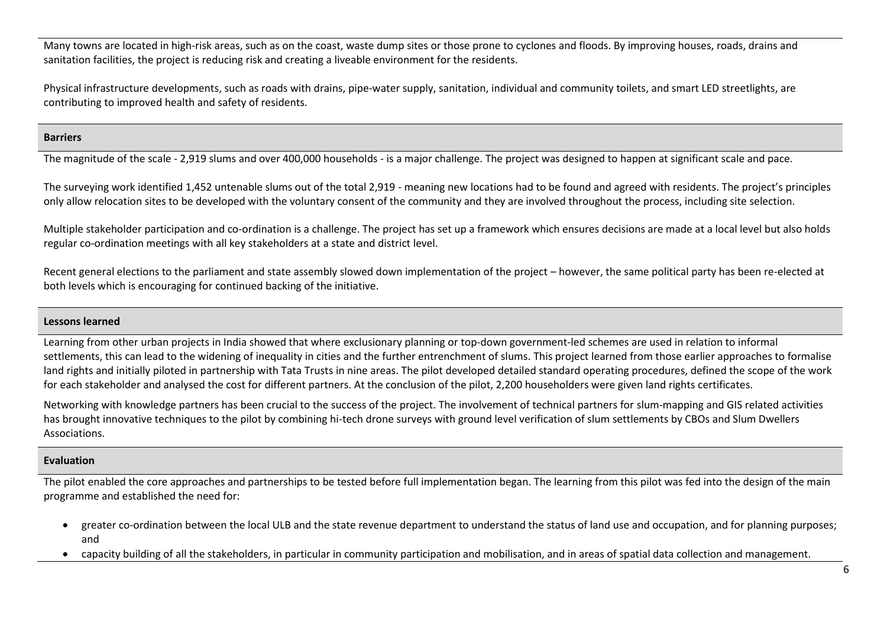Many towns are located in high-risk areas, such as on the coast, waste dump sites or those prone to cyclones and floods. By improving houses, roads, drains and sanitation facilities, the project is reducing risk and creating a liveable environment for the residents.

Physical infrastructure developments, such as roads with drains, pipe-water supply, sanitation, individual and community toilets, and smart LED streetlights, are contributing to improved health and safety of residents.

### **Barriers**

The magnitude of the scale - 2,919 slums and over 400,000 households - is a major challenge. The project was designed to happen at significant scale and pace.

The surveying work identified 1,452 untenable slums out of the total 2,919 - meaning new locations had to be found and agreed with residents. The project's principles only allow relocation sites to be developed with the voluntary consent of the community and they are involved throughout the process, including site selection.

Multiple stakeholder participation and co-ordination is a challenge. The project has set up a framework which ensures decisions are made at a local level but also holds regular co-ordination meetings with all key stakeholders at a state and district level.

Recent general elections to the parliament and state assembly slowed down implementation of the project – however, the same political party has been re-elected at both levels which is encouraging for continued backing of the initiative.

## **Lessons learned**

Learning from other urban projects in India showed that where exclusionary planning or top-down government-led schemes are used in relation to informal settlements, this can lead to the widening of inequality in cities and the further entrenchment of slums. This project learned from those earlier approaches to formalise land rights and initially piloted in partnership with Tata Trusts in nine areas. The pilot developed detailed standard operating procedures, defined the scope of the work for each stakeholder and analysed the cost for different partners. At the conclusion of the pilot, 2,200 householders were given land rights certificates.

Networking with knowledge partners has been crucial to the success of the project. The involvement of technical partners for slum-mapping and GIS related activities has brought innovative techniques to the pilot by combining hi-tech drone surveys with ground level verification of slum settlements by CBOs and Slum Dwellers Associations.

## **Evaluation**

The pilot enabled the core approaches and partnerships to be tested before full implementation began. The learning from this pilot was fed into the design of the main programme and established the need for:

- greater co-ordination between the local ULB and the state revenue department to understand the status of land use and occupation, and for planning purposes; and
- capacity building of all the stakeholders, in particular in community participation and mobilisation, and in areas of spatial data collection and management.